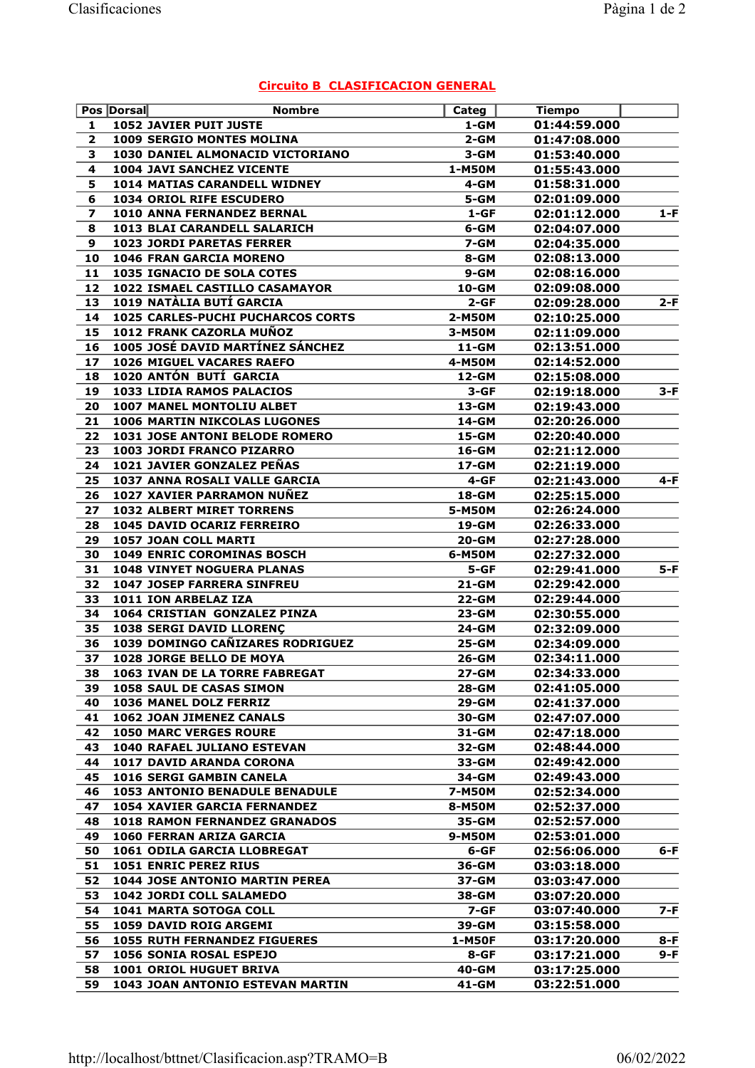## Circuito B CLASIFICACION GENERAL

|                         | Pos Dorsal                               | <b>Nombre</b> | Categ        | <b>Tiempo</b> |       |
|-------------------------|------------------------------------------|---------------|--------------|---------------|-------|
| 1                       | <b>1052 JAVIER PUIT JUSTE</b>            |               | $1 - GM$     | 01:44:59.000  |       |
| $\overline{2}$          | <b>1009 SERGIO MONTES MOLINA</b>         |               | $2 - GM$     | 01:47:08.000  |       |
| 3                       | 1030 DANIEL ALMONACID VICTORIANO         |               | 3-GM         | 01:53:40.000  |       |
| 4                       | <b>1004 JAVI SANCHEZ VICENTE</b>         |               | 1-M50M       | 01:55:43.000  |       |
| 5                       | <b>1014 MATIAS CARANDELL WIDNEY</b>      |               | 4-GM         | 01:58:31.000  |       |
| 6                       | <b>1034 ORIOL RIFE ESCUDERO</b>          |               | 5-GM         | 02:01:09.000  |       |
| $\overline{\mathbf{z}}$ | 1010 ANNA FERNANDEZ BERNAL               |               | $1 - GF$     | 02:01:12.000  | $1-F$ |
| 8                       | <b>1013 BLAI CARANDELL SALARICH</b>      |               | 6-GM         | 02:04:07.000  |       |
| 9                       | <b>1023 JORDI PARETAS FERRER</b>         |               | 7-GM         | 02:04:35.000  |       |
| 10                      | <b>1046 FRAN GARCIA MORENO</b>           |               | 8-GM         | 02:08:13.000  |       |
| 11                      | 1035 IGNACIO DE SOLA COTES               |               | $9 - GM$     | 02:08:16.000  |       |
| 12                      | 1022 ISMAEL CASTILLO CASAMAYOR           |               | 10-GM        | 02:09:08.000  |       |
| 13                      | 1019 NATÀLIA BUTÍ GARCIA                 |               | $2 - GF$     | 02:09:28.000  | 2-F   |
| 14                      | <b>1025 CARLES-PUCHI PUCHARCOS CORTS</b> |               | 2-M50M       | 02:10:25.000  |       |
| 15                      | 1012 FRANK CAZORLA MUÑOZ                 |               | 3-M50M       | 02:11:09.000  |       |
| 16                      | 1005 JOSÉ DAVID MARTÍNEZ SÁNCHEZ         |               | 11-GM        | 02:13:51.000  |       |
| 17                      | 1026 MIGUEL VACARES RAEFO                |               | 4-M50M       | 02:14:52.000  |       |
| 18                      | 1020 ANTÓN BUTÍ GARCIA                   |               | 12-GM        | 02:15:08.000  |       |
| 19                      | 1033 LIDIA RAMOS PALACIOS                |               | $3-GF$       | 02:19:18.000  | $3-F$ |
| 20                      | 1007 MANEL MONTOLIU ALBET                |               | 13-GM        | 02:19:43.000  |       |
| 21                      | 1006 MARTIN NIKCOLAS LUGONES             |               | 14-GM        | 02:20:26.000  |       |
| 22                      | 1031 JOSE ANTONI BELODE ROMERO           |               | 15-GM        | 02:20:40.000  |       |
| 23                      | 1003 JORDI FRANCO PIZARRO                |               | 16-GM        | 02:21:12.000  |       |
| 24                      | 1021 JAVIER GONZALEZ PEÑAS               |               | 17-GM        | 02:21:19.000  |       |
| 25                      | 1037 ANNA ROSALI VALLE GARCIA            |               | $4 - GF$     | 02:21:43.000  | $4-F$ |
| 26                      | 1027 XAVIER PARRAMON NUÑEZ               |               | <b>18-GM</b> | 02:25:15.000  |       |
| 27                      | <b>1032 ALBERT MIRET TORRENS</b>         |               | 5-M50M       | 02:26:24.000  |       |
| 28                      | 1045 DAVID OCARIZ FERREIRO               |               | 19-GM        | 02:26:33.000  |       |
| 29                      | 1057 JOAN COLL MARTI                     |               | 20-GM        | 02:27:28.000  |       |
| 30                      | <b>1049 ENRIC COROMINAS BOSCH</b>        |               | 6-M50M       | 02:27:32.000  |       |
| 31                      | <b>1048 VINYET NOGUERA PLANAS</b>        |               | $5 - GF$     | 02:29:41.000  | $5-F$ |
| 32                      | <b>1047 JOSEP FARRERA SINFREU</b>        |               | 21-GM        | 02:29:42.000  |       |
| 33                      | 1011 ION ARBELAZ IZA                     |               | 22-GM        | 02:29:44.000  |       |
| 34                      | 1064 CRISTIAN GONZALEZ PINZA             |               | 23-GM        | 02:30:55.000  |       |
| 35                      | 1038 SERGI DAVID LLORENÇ                 |               | 24-GM        | 02:32:09.000  |       |
| 36                      | 1039 DOMINGO CAÑIZARES RODRIGUEZ         |               | 25-GM        | 02:34:09.000  |       |
| 37                      | 1028 JORGE BELLO DE MOYA                 |               | 26-GM        | 02:34:11.000  |       |
| 38                      | 1063 IVAN DE LA TORRE FABREGAT           |               | 27-GM        | 02:34:33.000  |       |
| 39                      | <b>1058 SAUL DE CASAS SIMON</b>          |               | 28-GM        | 02:41:05.000  |       |
| 40                      | 1036 MANEL DOLZ FERRIZ                   |               | 29-GM        | 02:41:37.000  |       |
| 41                      | 1062 JOAN JIMENEZ CANALS                 |               | 30-GM        | 02:47:07.000  |       |
| 42                      | <b>1050 MARC VERGES ROURE</b>            |               | 31-GM        | 02:47:18.000  |       |
| 43                      | <b>1040 RAFAEL JULIANO ESTEVAN</b>       |               | 32-GM        | 02:48:44.000  |       |
| 44                      | 1017 DAVID ARANDA CORONA                 |               | 33-GM        | 02:49:42.000  |       |
| 45                      | <b>1016 SERGI GAMBIN CANELA</b>          |               | 34-GM        | 02:49:43.000  |       |
| 46                      | <b>1053 ANTONIO BENADULE BENADULE</b>    |               | 7-M50M       | 02:52:34.000  |       |
| 47                      | 1054 XAVIER GARCIA FERNANDEZ             |               | 8-M50M       | 02:52:37.000  |       |
| 48                      | <b>1018 RAMON FERNANDEZ GRANADOS</b>     |               | 35-GM        | 02:52:57.000  |       |
| 49                      | 1060 FERRAN ARIZA GARCIA                 |               | 9-M50M       | 02:53:01.000  |       |
| 50                      | 1061 ODILA GARCIA LLOBREGAT              |               | 6-GF         | 02:56:06.000  | $6-F$ |
| 51                      | <b>1051 ENRIC PEREZ RIUS</b>             |               | 36-GM        | 03:03:18.000  |       |
| 52                      | <b>1044 JOSE ANTONIO MARTIN PEREA</b>    |               | 37-GM        | 03:03:47.000  |       |
| 53                      | 1042 JORDI COLL SALAMEDO                 |               | 38-GM        | 03:07:20.000  |       |
| 54                      | <b>1041 MARTA SOTOGA COLL</b>            |               | 7-GF         | 03:07:40.000  | $7-F$ |
| 55                      | 1059 DAVID ROIG ARGEMI                   |               | 39-GM        | 03:15:58.000  |       |
| 56                      | <b>1055 RUTH FERNANDEZ FIGUERES</b>      |               | 1-M50F       | 03:17:20.000  | 8-F   |
| 57                      | 1056 SONIA ROSAL ESPEJO                  |               | 8-GF         | 03:17:21.000  | 9-F   |
| 58                      | 1001 ORIOL HUGUET BRIVA                  |               | 40-GM        | 03:17:25.000  |       |
| 59                      | 1043 JOAN ANTONIO ESTEVAN MARTIN         |               | 41-GM        | 03:22:51.000  |       |